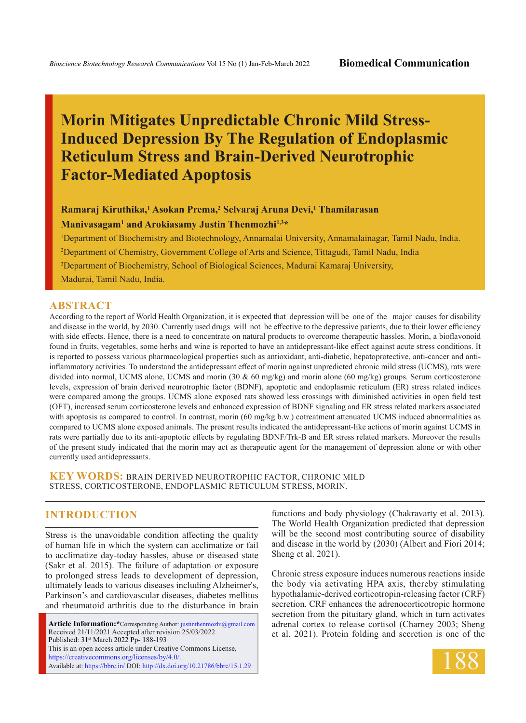# **Morin Mitigates Unpredictable Chronic Mild Stress-Induced Depression By The Regulation of Endoplasmic Reticulum Stress and Brain-Derived Neurotrophic Factor-Mediated Apoptosis**

## **Ramaraj Kiruthika,1 Asokan Prema,2 Selvaraj Aruna Devi,1 Thamilarasan Manivasagam1 and Arokiasamy Justin Thenmozhi1,3\***

 Department of Biochemistry and Biotechnology, Annamalai University, Annamalainagar, Tamil Nadu, India. Department of Chemistry, Government College of Arts and Science, Tittagudi, Tamil Nadu, India Department of Biochemistry, School of Biological Sciences, Madurai Kamaraj University, Madurai, Tamil Nadu, India.

#### **ABSTRACT**

According to the report of World Health Organization, it is expected that depression will be one of the major causes for disability and disease in the world, by 2030. Currently used drugs will not be effective to the depressive patients, due to their lower efficiency with side effects. Hence, there is a need to concentrate on natural products to overcome therapeutic hassles. Morin, a bioflavonoid found in fruits, vegetables, some herbs and wine is reported to have an antidepressant-like effect against acute stress conditions. It is reported to possess various pharmacological properties such as antioxidant, anti-diabetic, hepatoprotective, anti-cancer and antiinflammatory activities. To understand the antidepressant effect of morin against unpredicted chronic mild stress (UCMS), rats were divided into normal, UCMS alone, UCMS and morin (30 & 60 mg/kg) and morin alone (60 mg/kg) groups. Serum corticosterone levels, expression of brain derived neurotrophic factor (BDNF), apoptotic and endoplasmic reticulum (ER) stress related indices were compared among the groups. UCMS alone exposed rats showed less crossings with diminished activities in open field test (OFT), increased serum corticosterone levels and enhanced expression of BDNF signaling and ER stress related markers associated with apoptosis as compared to control. In contrast, morin (60 mg/kg b.w.) cotreatment attenuated UCMS induced abnormalities as compared to UCMS alone exposed animals. The present results indicated the antidepressant-like actions of morin against UCMS in rats were partially due to its anti-apoptotic effects by regulating BDNF/Trk-B and ER stress related markers. Moreover the results of the present study indicated that the morin may act as therapeutic agent for the management of depression alone or with other currently used antidepressants.

**KEY WORDS:** Brain derived neurotrophic Factor, Chronic mild stress, Corticosterone, Endoplasmic reticulum stress, Morin.

## **INTRODUCTION**

Stress is the unavoidable condition affecting the quality of human life in which the system can acclimatize or fail to acclimatize day-today hassles, abuse or diseased state (Sakr et al. 2015). The failure of adaptation or exposure to prolonged stress leads to development of depression, ultimately leads to various diseases including Alzheimer's, Parkinson's and cardiovascular diseases, diabetes mellitus and rheumatoid arthritis due to the disturbance in brain

**Article Information:\***Corresponding Author: justinthenmozhi@gmail.com Received 21/11/2021 Accepted after revision 25/03/2022 Published: 31st March 2022 Pp- 188-193 This is an open access article under Creative Commons License, https://creativecommons.org/licenses/by/4.0/. Available at: https://bbrc.in/ DOI: http://dx.doi.org/10.21786/bbrc/15.1.29

functions and body physiology (Chakravarty et al. 2013). The World Health Organization predicted that depression will be the second most contributing source of disability and disease in the world by (2030) (Albert and Fiori 2014; Sheng et al. 2021).

Chronic stress exposure induces numerous reactions inside the body via activating HPA axis, thereby stimulating hypothalamic-derived corticotropin-releasing factor (CRF) secretion. CRF enhances the adrenocorticotropic hormone secretion from the pituitary gland, which in turn activates adrenal cortex to release cortisol (Charney 2003; Sheng et al. 2021). Protein folding and secretion is one of the

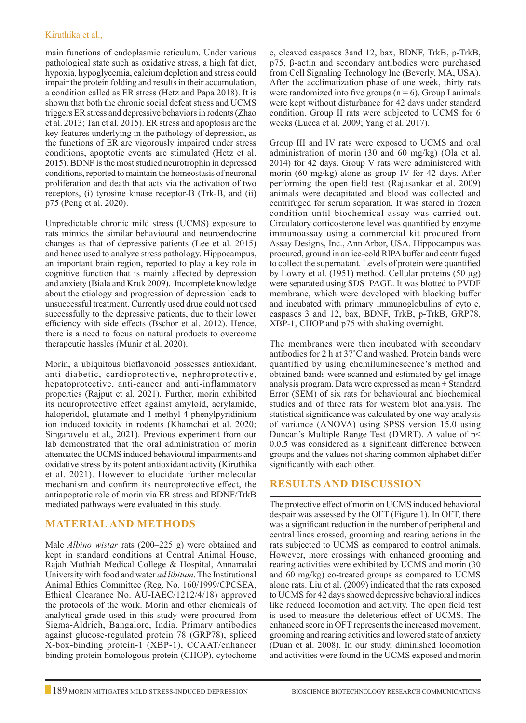#### Kiruthika et al.,

main functions of endoplasmic reticulum. Under various pathological state such as oxidative stress, a high fat diet, hypoxia, hypoglycemia, calcium depletion and stress could impair the protein folding and results in their accumulation, a condition called as ER stress (Hetz and Papa 2018). It is shown that both the chronic social defeat stress and UCMS triggers ER stress and depressive behaviors in rodents (Zhao et al. 2013; Tan et al. 2015). ER stress and apoptosis are the key features underlying in the pathology of depression, as the functions of ER are vigorously impaired under stress conditions, apoptotic events are stimulated (Hetz et al. 2015). BDNF is the most studied neurotrophin in depressed conditions, reported to maintain the homeostasis of neuronal proliferation and death that acts via the activation of two receptors, (i) tyrosine kinase receptor-B (Trk-B, and (ii) p75 (Peng et al. 2020).

Unpredictable chronic mild stress (UCMS) exposure to rats mimics the similar behavioural and neuroendocrine changes as that of depressive patients (Lee et al. 2015) and hence used to analyze stress pathology. Hippocampus, an important brain region, reported to play a key role in cognitive function that is mainly affected by depression and anxiety (Biala and Kruk 2009). Incomplete knowledge about the etiology and progression of depression leads to unsuccessful treatment. Currently used drug could not used successfully to the depressive patients, due to their lower efficiency with side effects (Bschor et al. 2012). Hence, there is a need to focus on natural products to overcome therapeutic hassles (Munir et al. 2020).

Morin, a ubiquitous bioflavonoid possesses antioxidant, anti-diabetic, cardioprotective, nephroprotective, hepatoprotective, anti-cancer and anti-inflammatory properties (Rajput et al. 2021). Further, morin exhibited its neuroprotective effect against amyloid, acrylamide, haloperidol, glutamate and 1-methyl-4-phenylpyridinium ion induced toxicity in rodents (Khamchai et al. 2020; Singaravelu et al., 2021). Previous experiment from our lab demonstrated that the oral administration of morin attenuated the UCMS induced behavioural impairments and oxidative stress by its potent antioxidant activity (Kiruthika et al. 2021). However to elucidate further molecular mechanism and confirm its neuroprotective effect, the antiapoptotic role of morin via ER stress and BDNF/TrkB mediated pathways were evaluated in this study.

## **Material and Methods**

Male *Albino wistar* rats (200–225 g) were obtained and kept in standard conditions at Central Animal House, Rajah Muthiah Medical College & Hospital, Annamalai University with food and water *ad libitum*. The Institutional Animal Ethics Committee (Reg. No. 160/1999/CPCSEA, Ethical Clearance No. AU-IAEC/1212/4/18) approved the protocols of the work. Morin and other chemicals of analytical grade used in this study were procured from Sigma-Aldrich, Bangalore, India. Primary antibodies against glucose-regulated protein 78 (GRP78), spliced X-box-binding protein-1 (XBP-1), CCAAT/enhancer binding protein homologous protein (CHOP), cytochome c, cleaved caspases 3and 12, bax, BDNF, TrkB, p-TrkB, p75, β-actin and secondary antibodies were purchased from Cell Signaling Technology Inc (Beverly, MA, USA). After the acclimatization phase of one week, thirty rats were randomized into five groups  $(n = 6)$ . Group I animals were kept without disturbance for 42 days under standard condition. Group II rats were subjected to UCMS for 6 weeks (Lucca et al. 2009; Yang et al. 2017).

Group III and IV rats were exposed to UCMS and oral administration of morin (30 and 60 mg/kg) (Ola et al. 2014) for 42 days. Group V rats were administered with morin (60 mg/kg) alone as group IV for 42 days. After performing the open field test (Rajasankar et al. 2009) animals were decapitated and blood was collected and centrifuged for serum separation. It was stored in frozen condition until biochemical assay was carried out. Circulatory corticosterone level was quantified by enzyme immunoassay using a commercial kit procured from Assay Designs, Inc., Ann Arbor, USA. Hippocampus was procured, ground in an ice-cold RIPA buffer and centrifuged to collect the supernatant. Levels of protein were quantified by Lowry et al. (1951) method. Cellular proteins  $(50 \mu g)$ were separated using SDS–PAGE. It was blotted to PVDF membrane, which were developed with blocking buffer and incubated with primary immunoglobulins of cyto c, caspases 3 and 12, bax, BDNF, TrkB, p-TrkB, GRP78, XBP-1, CHOP and p75 with shaking overnight.

The membranes were then incubated with secondary antibodies for 2 h at 37˚C and washed. Protein bands were quantified by using chemiluminescence's method and obtained bands were scanned and estimated by gel image analysis program. Data were expressed as mean ± Standard Error (SEM) of six rats for behavioural and biochemical studies and of three rats for western blot analysis. The statistical significance was calculated by one-way analysis of variance (ANOVA) using SPSS version 15.0 using Duncan's Multiple Range Test (DMRT). A value of p< 0.0.5 was considered as a significant difference between groups and the values not sharing common alphabet differ significantly with each other.

## **Results and Discussion**

The protective effect of morin on UCMS induced behavioral despair was assessed by the OFT (Figure 1). In OFT, there was a significant reduction in the number of peripheral and central lines crossed, grooming and rearing actions in the rats subjected to UCMS as compared to control animals. However, more crossings with enhanced grooming and rearing activities were exhibited by UCMS and morin (30 and 60 mg/kg) co-treated groups as compared to UCMS alone rats. Liu et al. (2009) indicated that the rats exposed to UCMS for 42 days showed depressive behavioral indices like reduced locomotion and activity. The open field test is used to measure the deleterious effect of UCMS. The enhanced score in OFT represents the increased movement, grooming and rearing activities and lowered state of anxiety (Duan et al. 2008). In our study, diminished locomotion and activities were found in the UCMS exposed and morin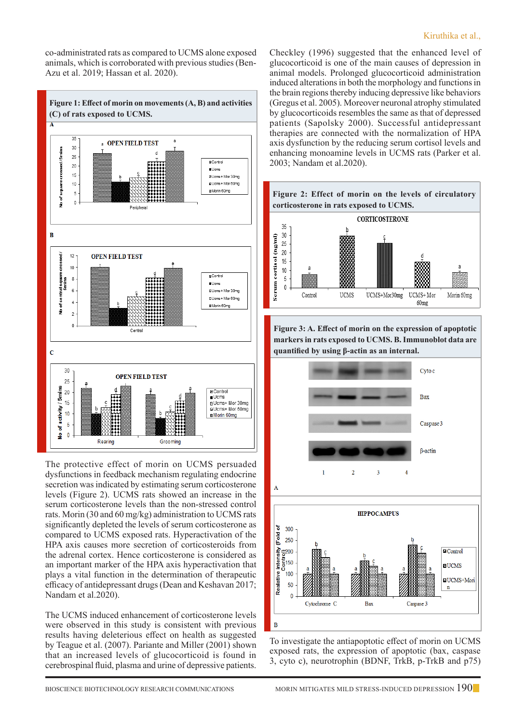co-administrated rats as compared to UCMS alone exposed animals, which is corroborated with previous studies (Ben-Azu et al. 2019; Hassan et al. 2020).



The protective effect of morin on UCMS persuaded dysfunctions in feedback mechanism regulating endocrine secretion was indicated by estimating serum corticosterone levels (Figure 2). UCMS rats showed an increase in the serum corticosterone levels than the non-stressed control rats. Morin (30 and 60 mg/kg) administration to UCMS rats significantly depleted the levels of serum corticosterone as compared to UCMS exposed rats. Hyperactivation of the HPA axis causes more secretion of corticosteroids from the adrenal cortex. Hence corticosterone is considered as an important marker of the HPA axis hyperactivation that plays a vital function in the determination of therapeutic efficacy of antidepressant drugs (Dean and Keshavan 2017; Nandam et al.2020).

The UCMS induced enhancement of corticosterone levels were observed in this study is consistent with previous results having deleterious effect on health as suggested by Teague et al. (2007). Pariante and Miller (2001) shown that an increased levels of glucocorticoid is found in cerebrospinal fluid, plasma and urine of depressive patients.

Checkley (1996) suggested that the enhanced level of glucocorticoid is one of the main causes of depression in animal models. Prolonged glucocorticoid administration induced alterations in both the morphology and functions in the brain regions thereby inducing depressive like behaviors (Gregus et al. 2005). Moreover neuronal atrophy stimulated by glucocorticoids resembles the same as that of depressed patients (Sapolsky 2000). Successful antidepressant therapies are connected with the normalization of HPA axis dysfunction by the reducing serum cortisol levels and enhancing monoamine levels in UCMS rats (Parker et al. 2003; Nandam et al.2020).



**Figure 3: A. Effect of morin on the expression of apoptotic markers in rats exposed to UCMS. B. Immunoblot data are quantified by using β-actin as an internal.**



To investigate the antiapoptotic effect of morin on UCMS exposed rats, the expression of apoptotic (bax, caspase 3, cyto c), neurotrophin (BDNF, TrkB, p-TrkB and p75)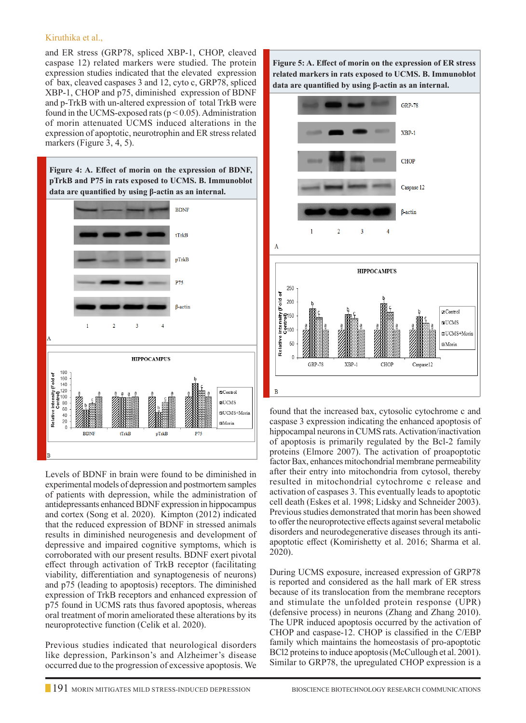#### Kiruthika et al.,

and ER stress (GRP78, spliced XBP-1, CHOP, cleaved caspase 12) related markers were studied. The protein expression studies indicated that the elevated expression of bax, cleaved caspases 3 and 12, cyto c, GRP78, spliced XBP-1, CHOP and p75, diminished expression of BDNF and p-TrkB with un-altered expression of total TrkB were found in the UCMS-exposed rats ( $p < 0.05$ ). Administration of morin attenuated UCMS induced alterations in the expression of apoptotic, neurotrophin and ER stress related markers (Figure 3, 4, 5).

**Figure 4: A. Effect of morin on the expression of BDNF, pTrkB and P75 in rats exposed to UCMS. B. Immunoblot data are quantified by using β-actin as an internal.**



Levels of BDNF in brain were found to be diminished in experimental models of depression and postmortem samples of patients with depression, while the administration of antidepressants enhanced BDNF expression in hippocampus and cortex (Song et al. 2020). Kimpton (2012) indicated that the reduced expression of BDNF in stressed animals results in diminished neurogenesis and development of depressive and impaired cognitive symptoms, which is corroborated with our present results. BDNF exert pivotal effect through activation of TrkB receptor (facilitating viability, differentiation and synaptogenesis of neurons) and p75 (leading to apoptosis) receptors. The diminished expression of TrkB receptors and enhanced expression of p75 found in UCMS rats thus favored apoptosis, whereas oral treatment of morin ameliorated these alterations by its neuroprotective function (Celik et al. 2020).

Previous studies indicated that neurological disorders like depression, Parkinson's and Alzheimer's disease occurred due to the progression of excessive apoptosis. We **Figure 5: A. Effect of morin on the expression of ER stress related markers in rats exposed to UCMS. B. Immunoblot data are quantified by using β-actin as an internal.**



found that the increased bax, cytosolic cytochrome c and caspase 3 expression indicating the enhanced apoptosis of hippocampal neurons in CUMS rats. Activation/inactivation of apoptosis is primarily regulated by the Bcl-2 family proteins (Elmore 2007). The activation of proapoptotic factor Bax, enhances mitochondrial membrane permeability after their entry into mitochondria from cytosol, thereby resulted in mitochondrial cytochrome c release and activation of caspases 3. This eventually leads to apoptotic cell death (Eskes et al. 1998; Lidsky and Schneider 2003). Previous studies demonstrated that morin has been showed to offer the neuroprotective effects against several metabolic disorders and neurodegenerative diseases through its antiapoptotic effect (Komirishetty et al. 2016; Sharma et al. 2020).

During UCMS exposure, increased expression of GRP78 is reported and considered as the hall mark of ER stress because of its translocation from the membrane receptors and stimulate the unfolded protein response (UPR) (defensive process) in neurons (Zhang and Zhang 2010). The UPR induced apoptosis occurred by the activation of CHOP and caspase-12. CHOP is classified in the C/EBP family which maintains the homeostasis of pro-apoptotic BCl2 proteins to induce apoptosis (McCullough et al. 2001). Similar to GRP78, the upregulated CHOP expression is a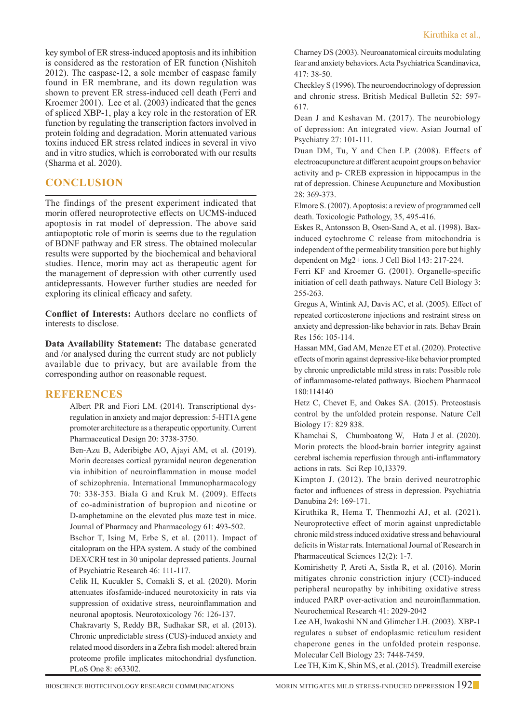key symbol of ER stress-induced apoptosis and its inhibition is considered as the restoration of ER function (Nishitoh 2012). The caspase-12, a sole member of caspase family found in ER membrane, and its down regulation was shown to prevent ER stress-induced cell death (Ferri and Kroemer 2001). Lee et al. (2003) indicated that the genes of spliced XBP-1, play a key role in the restoration of ER function by regulating the transcription factors involved in protein folding and degradation. Morin attenuated various toxins induced ER stress related indices in several in vivo and in vitro studies, which is corroborated with our results (Sharma et al. 2020).

## **Conclusion**

The findings of the present experiment indicated that morin offered neuroprotective effects on UCMS-induced apoptosis in rat model of depression. The above said antiapoptotic role of morin is seems due to the regulation of BDNF pathway and ER stress. The obtained molecular results were supported by the biochemical and behavioral studies. Hence, morin may act as therapeutic agent for the management of depression with other currently used antidepressants. However further studies are needed for exploring its clinical efficacy and safety.

**Conflict of Interests:** Authors declare no conflicts of interests to disclose.

**Data Availability Statement:** The database generated and /or analysed during the current study are not publicly available due to privacy, but are available from the corresponding author on reasonable request.

#### **REFERENCES**

 Albert PR and Fiori LM. (2014). Transcriptional dysregulation in anxiety and major depression: 5-HT1A gene promoter architecture as a therapeutic opportunity. Current Pharmaceutical Design 20: 3738-3750.

Ben-Azu B, Aderibigbe AO, Ajayi AM, et al. (2019). Morin decreases cortical pyramidal neuron degeneration via inhibition of neuroinflammation in mouse model of schizophrenia. International Immunopharmacology 70: 338-353. Biala G and Kruk M. (2009). Effects of co-administration of bupropion and nicotine or D-amphetamine on the elevated plus maze test in mice. Journal of Pharmacy and Pharmacology 61: 493-502.

Bschor T, Ising M, Erbe S, et al. (2011). Impact of citalopram on the HPA system. A study of the combined DEX/CRH test in 30 unipolar depressed patients. Journal of Psychiatric Research 46: 111-117.

Celik H, Kucukler S, Comakli S, et al. (2020). Morin attenuates ifosfamide-induced neurotoxicity in rats via suppression of oxidative stress, neuroinflammation and neuronal apoptosis. Neurotoxicology 76: 126-137.

Chakravarty S, Reddy BR, Sudhakar SR, et al. (2013). Chronic unpredictable stress (CUS)-induced anxiety and related mood disorders in a Zebra fish model: altered brain proteome profile implicates mitochondrial dysfunction. PLoS One 8: e63302.

Charney DS (2003). Neuroanatomical circuits modulating fear and anxiety behaviors. Acta Psychiatrica Scandinavica, 417: 38-50.

Checkley S (1996). The neuroendocrinology of depression and chronic stress. British Medical Bulletin 52: 597- 617.

Dean J and Keshavan M. (2017). The neurobiology of depression: An integrated view. Asian Journal of Psychiatry 27: 101-111.

Duan DM, Tu, Y and Chen LP. (2008). Effects of electroacupuncture at different acupoint groups on behavior activity and p- CREB expression in hippocampus in the rat of depression. Chinese Acupuncture and Moxibustion 28: 369-373.

Elmore S. (2007). Apoptosis: a review of programmed cell death. Toxicologic Pathology, 35, 495-416.

Eskes R, Antonsson B, Osen-Sand A, et al. (1998). Baxinduced cytochrome C release from mitochondria is independent of the permeability transition pore but highly dependent on Mg2+ ions. J Cell Biol 143: 217-224.

Ferri KF and Kroemer G. (2001). Organelle-specific initiation of cell death pathways. Nature Cell Biology 3: 255-263.

Gregus A, Wintink AJ, Davis AC, et al. (2005). Effect of repeated corticosterone injections and restraint stress on anxiety and depression-like behavior in rats. Behav Brain Res 156: 105-114.

Hassan MM, Gad AM, Menze ET et al. (2020). Protective effects of morin against depressive-like behavior prompted by chronic unpredictable mild stress in rats: Possible role of inflammasome-related pathways. Biochem Pharmacol 180:114140

Hetz C, Chevet E, and Oakes SA. (2015). Proteostasis control by the unfolded protein response. Nature Cell Biology 17: 829 838.

Khamchai S, Chumboatong W, Hata J et al. (2020). Morin protects the blood-brain barrier integrity against cerebral ischemia reperfusion through anti-inflammatory actions in rats. Sci Rep 10,13379.

Kimpton J. (2012). The brain derived neurotrophic factor and influences of stress in depression. Psychiatria Danubina 24: 169-171.

Kiruthika R, Hema T, Thenmozhi AJ, et al. (2021). Neuroprotective effect of morin against unpredictable chronic mild stress induced oxidative stress and behavioural deficits in Wistar rats. International Journal of Research in Pharmaceutical Sciences 12(2): 1-7.

Komirishetty P, Areti A, Sistla R, et al. (2016). Morin mitigates chronic constriction injury (CCI)-induced peripheral neuropathy by inhibiting oxidative stress induced PARP over-activation and neuroinflammation. Neurochemical Research 41: 2029-2042

 Lee AH, Iwakoshi NN and Glimcher LH. (2003). XBP-1 regulates a subset of endoplasmic reticulum resident chaperone genes in the unfolded protein response. Molecular Cell Biology 23: 7448-7459.

Lee TH, Kim K, Shin MS, et al. (2015). Treadmill exercise